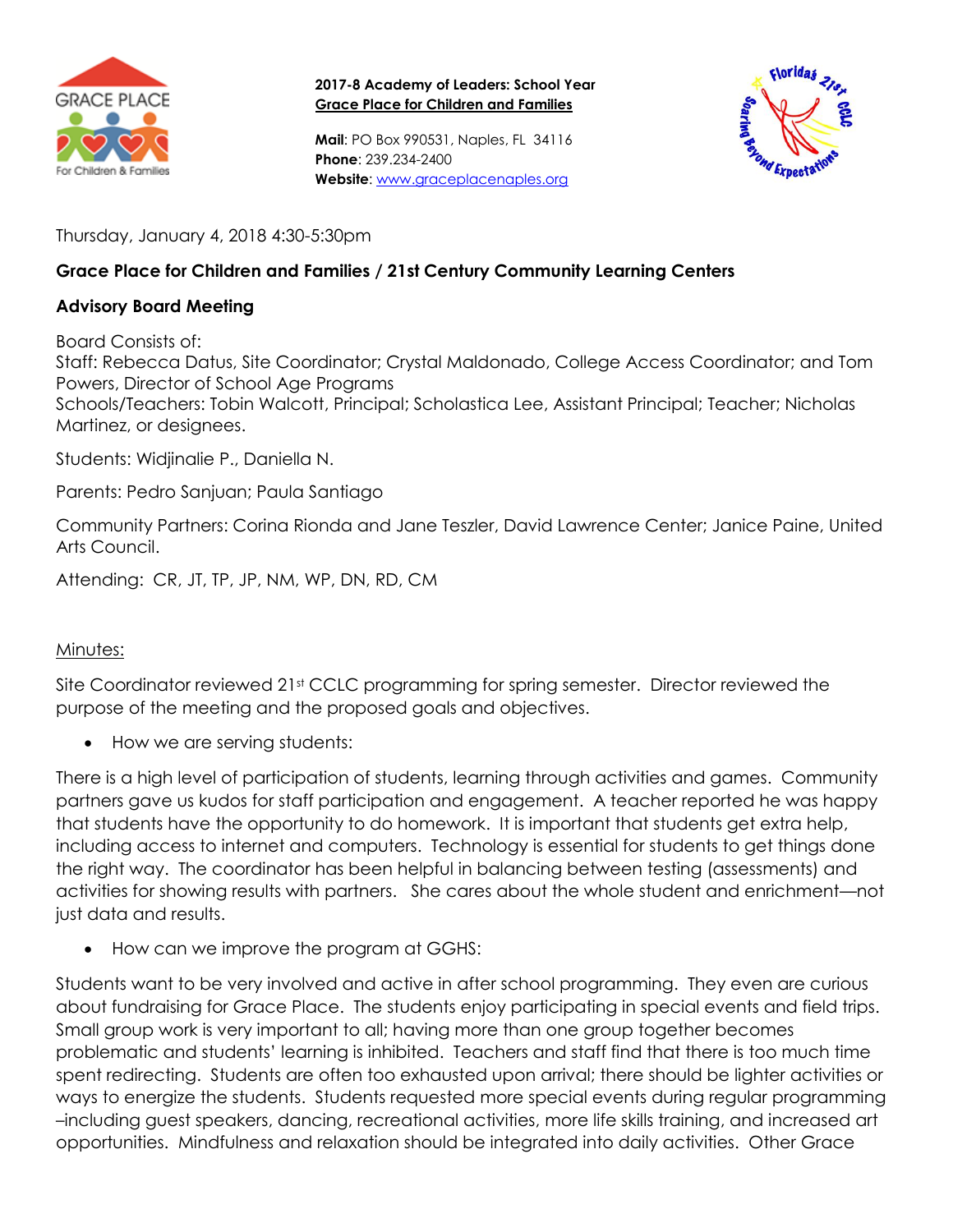

**2017-8 Academy of Leaders: School Year Grace Place for Children and Families**

**Mail**: PO Box 990531, Naples, FL 34116 **Phone**: 239.234-2400 **Website**: [www.graceplacenaples.org](http://www.graceplacenaples.org/)



Thursday, January 4, 2018 4:30-5:30pm

## **Grace Place for Children and Families / 21st Century Community Learning Centers**

## **Advisory Board Meeting**

Board Consists of:

Staff: Rebecca Datus, Site Coordinator; Crystal Maldonado, College Access Coordinator; and Tom Powers, Director of School Age Programs

Schools/Teachers: Tobin Walcott, Principal; Scholastica Lee, Assistant Principal; Teacher; Nicholas Martinez, or designees.

Students: Widjinalie P., Daniella N.

Parents: Pedro Sanjuan; Paula Santiago

Community Partners: Corina Rionda and Jane Teszler, David Lawrence Center; Janice Paine, United Arts Council.

Attending: CR, JT, TP, JP, NM, WP, DN, RD, CM

## Minutes:

Site Coordinator reviewed 21<sup>st</sup> CCLC programming for spring semester. Director reviewed the purpose of the meeting and the proposed goals and objectives.

• How we are serving students:

There is a high level of participation of students, learning through activities and games. Community partners gave us kudos for staff participation and engagement. A teacher reported he was happy that students have the opportunity to do homework. It is important that students get extra help, including access to internet and computers. Technology is essential for students to get things done the right way. The coordinator has been helpful in balancing between testing (assessments) and activities for showing results with partners. She cares about the whole student and enrichment—not just data and results.

• How can we improve the program at GGHS:

Students want to be very involved and active in after school programming. They even are curious about fundraising for Grace Place. The students enjoy participating in special events and field trips. Small group work is very important to all; having more than one group together becomes problematic and students' learning is inhibited. Teachers and staff find that there is too much time spent redirecting. Students are often too exhausted upon arrival; there should be lighter activities or ways to energize the students. Students requested more special events during regular programming –including guest speakers, dancing, recreational activities, more life skills training, and increased art opportunities. Mindfulness and relaxation should be integrated into daily activities. Other Grace